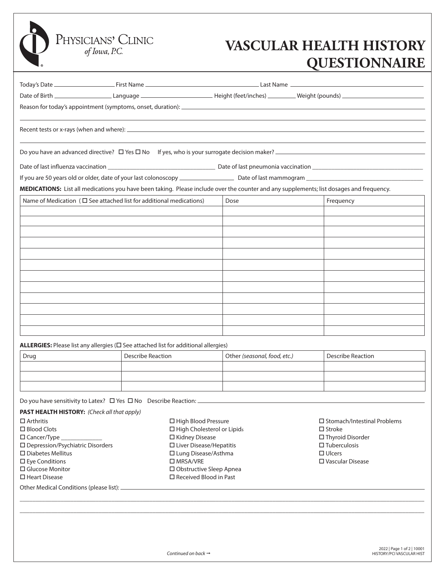## **VASCULAR HEALTH HISTORY QUESTIONNAIRE**

|      | MEDICATIONS: List all medications you have been taking. Please include over the counter and any supplements; list dosages and frequency. |                              |                          |
|------|------------------------------------------------------------------------------------------------------------------------------------------|------------------------------|--------------------------|
|      | Name of Medication ( $\square$ See attached list for additional medications)                                                             | Dose                         | Frequency                |
|      |                                                                                                                                          |                              |                          |
|      |                                                                                                                                          |                              |                          |
|      |                                                                                                                                          |                              |                          |
|      |                                                                                                                                          |                              |                          |
|      |                                                                                                                                          |                              |                          |
|      |                                                                                                                                          |                              |                          |
|      |                                                                                                                                          |                              |                          |
|      |                                                                                                                                          |                              |                          |
|      |                                                                                                                                          |                              |                          |
|      |                                                                                                                                          |                              |                          |
|      |                                                                                                                                          |                              |                          |
|      | ALLERGIES: Please list any allergies ( $\square$ See attached list for additional allergies)                                             |                              |                          |
| Drug | <b>Describe Reaction</b>                                                                                                                 | Other (seasonal, food, etc.) | <b>Describe Reaction</b> |
|      |                                                                                                                                          |                              |                          |
|      |                                                                                                                                          |                              |                          |
|      |                                                                                                                                          |                              |                          |

**PAST HEALTH HISTORY:** *(Check all that apply)*

PHYSICIANS' CLINIC of Iowa, P.C.

Other Medical Conditions (please list): Arthritis □ Blood Clots Cancer/Type \_\_\_\_\_\_\_\_\_\_\_\_\_ Depression/Psychiatric Disorders Diabetes Mellitus Eye Conditions □ Glucose Monitor □ Heart Disease □ High Blood Pressure  $\Box$  High Cholesterol or Lipids Kidney Disease Liver Disease/Hepatitis Lung Disease/Asthma □ MRSA/VRE Obstructive Sleep Apnea □ Received Blood in Past

□ Stomach/Intestinal Problems  $\square$  Stroke □ Thyroid Disorder  $\square$  Tuberculosis □ Ulcers Vascular Disease

\_\_\_\_\_\_\_\_\_\_\_\_\_\_\_\_\_\_\_\_\_\_\_\_\_\_\_\_\_\_\_\_\_\_\_\_\_\_\_\_\_\_\_\_\_\_\_\_\_\_\_\_\_\_\_\_\_\_\_\_\_\_\_\_\_\_\_\_\_\_\_\_\_\_\_\_\_\_\_\_\_\_\_\_\_\_\_\_\_\_\_\_\_\_\_\_\_\_\_\_\_\_\_\_\_\_\_\_\_\_\_\_\_\_\_\_\_\_\_\_\_\_\_\_\_\_\_\_ \_\_\_\_\_\_\_\_\_\_\_\_\_\_\_\_\_\_\_\_\_\_\_\_\_\_\_\_\_\_\_\_\_\_\_\_\_\_\_\_\_\_\_\_\_\_\_\_\_\_\_\_\_\_\_\_\_\_\_\_\_\_\_\_\_\_\_\_\_\_\_\_\_\_\_\_\_\_\_\_\_\_\_\_\_\_\_\_\_\_\_\_\_\_\_\_\_\_\_\_\_\_\_\_\_\_\_\_\_\_\_\_\_\_\_\_\_\_\_\_\_\_\_\_\_\_\_\_